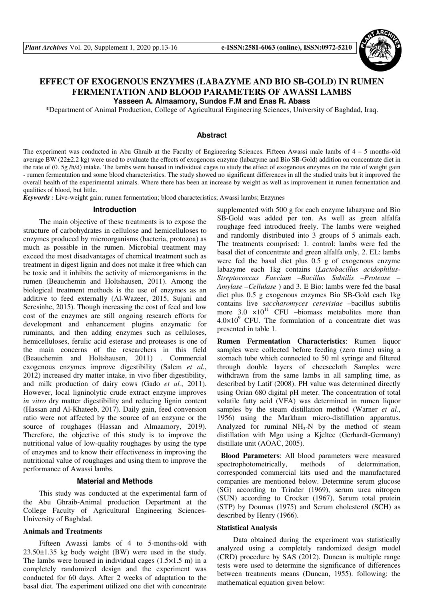

# **EFFECT OF EXOGENOUS ENZYMES (LABAZYME AND BIO SB-GOLD) IN RUMEN FERMENTATION AND BLOOD PARAMETERS OF AWASSI LAMBS**

**Yasseen A. Almaamory, Sundos F.M and Enas R. Abass** 

\*Department of Animal Production, College of Agricultural Engineering Sciences, University of Baghdad, Iraq.

## **Abstract**

The experiment was conducted in Abu Ghraib at the Faculty of Engineering Sciences. Fifteen Awassi male lambs of 4 – 5 months-old average BW (22±2.2 kg) were used to evaluate the effects of exogenous enzyme (labazyme and Bio SB-Gold) addition on concentrate diet in the rate of (0. 5g /h/d) intake. The lambs were housed in individual cages to study the effect of exogenous enzymes on the rate of weight gain - rumen fermentation and some blood characteristics. The study showed no significant differences in all the studied traits but it improved the overall health of the experimental animals. Where there has been an increase by weight as well as improvement in rumen fermentation and qualities of blood, but little.

*Keywords :* Live-weight gain; rumen fermentation; blood characteristics; Awassi lambs; Enzymes

### **Introduction**

The main objective of these treatments is to expose the structure of carbohydrates in cellulose and hemicelluloses to enzymes produced by microorganisms (bacteria, protozoa) as much as possible in the rumen. Microbial treatment may exceed the most disadvantages of chemical treatment such as treatment in digest lignin and does not make it free which can be toxic and it inhibits the activity of microorganisms in the rumen (Beauchemin and Holtshausen, 2011). Among the biological treatment methods is the use of enzymes as an additive to feed externally (Al-Wazeer, 2015, Sujani and Seresinhe, 2015). Though increasing the cost of feed and low cost of the enzymes are still ongoing research efforts for development and enhancement plugins enzymatic for ruminants, and then adding enzymes such as celluloses, hemicelluloses, ferulic acid esterase and proteases is one of the main concerns of the researchers in this field (Beauchemin and Holtshausen, 2011) . Commercial exogenous enzymes improve digestibility (Salem *et al.*, 2012) increased dry matter intake, in vivo fiber digestibility, and milk production of dairy cows (Gado *et al.*, 2011). However, local ligninolytic crude extract enzyme improves *in vitro* dry matter digestibility and reducing lignin content (Hassan and Al-Khateeb, 2017). Daily gain, feed conversion ratio were not affected by the source of an enzyme or the source of roughages (Hassan and Almaamory, 2019). Therefore, the objective of this study is to improve the nutritional value of low-quality roughages by using the type of enzymes and to know their effectiveness in improving the nutritional value of roughages and using them to improve the performance of Awassi lambs.

### **Material and Methods**

This study was conducted at the experimental farm of the Abu Ghraib-Animal production Department at the College Faculty of Agricultural Engineering Sciences-University of Baghdad.

## **Animals and Treatments**

Fifteen Awassi lambs of 4 to 5-months-old with 23.50±1.35 kg body weight (BW) were used in the study. The lambs were housed in individual cages (1.5×1.5 m) in a completely randomized design and the experiment was conducted for 60 days. After 2 weeks of adaptation to the basal diet. The experiment utilized one diet with concentrate

supplemented with 500 g for each enzyme labazyme and Bio SB-Gold was added per ton. As well as green alfalfa roughage feed introduced freely. The lambs were weighed and randomly distributed into 3 groups of 5 animals each. The treatments comprised: 1. control: lambs were fed the basal diet of concentrate and green alfalfa only, 2. EL: lambs were fed the basal diet plus 0.5 g of exogenous enzyme labazyme each 1kg contains (*Lactobacillus acidophilus-Streptococcus Faecium –Bacillus Subtilis –Protease – Amylase –Cellulase* ) and 3. E Bio: lambs were fed the basal diet plus 0.5 g exogenous enzymes Bio SB-Gold each 1kg contains live *saccharomyces cerevisiae* –bacillus subtilis more  $3.0 \times 10^{11}$  CFU -biomass metabolites more than  $4.0\times10^{9}$  CFU. The formulation of a concentrate diet was presented in table 1.

**Rumen Fermentation Characteristics**: Rumen liquor samples were collected before feeding (zero time) using a stomach tube which connected to 50 ml syringe and filtered through double layers of cheesecloth Samples were withdrawn from the same lambs in all sampling time, as described by Latif (2008). PH value was determined directly using Orian 680 digital pH meter. The concentration of total volatile fatty acid (VFA) was determined in rumen liquor samples by the steam distillation method (Warner *et al.*, 1956) using the Markham micro-distillation apparatus. Analyzed for ruminal  $NH<sub>3</sub>-N$  by the method of steam distillation with Mgo using a Kjeltec (Gerhardt-Germany) distillate unit (AOAC, 2005).

 **Blood Parameters**: All blood parameters were measured spectrophotometrically, methods of determination, corresponded commercial kits used and the manufactured companies are mentioned below. Determine serum glucose (SG) according to Trinder (1969), serum urea nitrogen (SUN) according to Crocker (1967), Serum total protein (STP) by Doumas (1975) and Serum cholesterol (SCH) as described by Henry (1966).

## **Statistical Analysis**

Data obtained during the experiment was statistically analyzed using a completely randomized design model (CRD) procedure by SAS (2012). Duncan is multiple range tests were used to determine the significance of differences between treatments means (Duncan, 1955). following: the mathematical equation given below: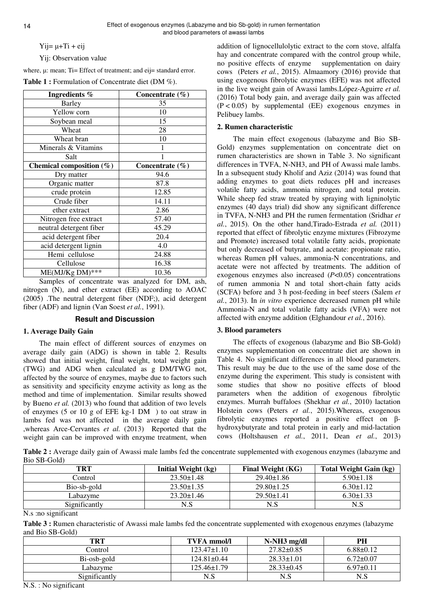$Yi = \mu + Ti + \text{e}i$ 

Yij: Observation value

where,  $\mu$ : mean; Ti= Effect of treatment; and eij= standard error.

| <b>Table 1:</b> Formulation of Concentrate diet (DM $\%$ ). |  |  |
|-------------------------------------------------------------|--|--|
|-------------------------------------------------------------|--|--|

| Ingredients %            | Concentrate $(\% )$ |  |  |
|--------------------------|---------------------|--|--|
| <b>Barley</b>            | 35                  |  |  |
| Yellow corn              | 10                  |  |  |
| Soybean meal             | 15                  |  |  |
| Wheat                    | 28                  |  |  |
| Wheat bran               | 10                  |  |  |
| Minerals & Vitamins      | 1                   |  |  |
| Salt                     |                     |  |  |
| Chemical composition (%) | Concentrate $(\% )$ |  |  |
| Dry matter               | 94.6                |  |  |
| Organic matter           | 87.8                |  |  |
| crude protein            | 12.85               |  |  |
| Crude fiber              | 14.11               |  |  |
| ether extract            | 2.86                |  |  |
| Nitrogen free extract    | 57.40               |  |  |
| neutral detergent fiber  | 45.29               |  |  |
| acid detergent fiber     | 20.4                |  |  |
| acid detergent lignin    | 4.0                 |  |  |
| Hemi cellulose           | 24.88               |  |  |
| Cellulose                | 16.38               |  |  |
| $ME(MJ/Kg DM)$ ***       | 10.36               |  |  |

Samples of concentrate was analyzed for DM, ash, nitrogen (N), and ether extract (EE) according to AOAC (2005) .The neutral detergent fiber (NDF;), acid detergent fiber (ADF) and lignin (Van Soest *et al.*, 1991).

## **Result and Discussion**

# **1. Average Daily Gain**

The main effect of different sources of enzymes on average daily gain (ADG) is shown in table 2. Results showed that initial weight, final weight, total weight gain (TWG) and ADG when calculated as g DM/TWG not, affected by the source of enzymes, maybe due to factors such as sensitivity and specificity enzyme activity as long as the method and time of implementation. Similar results showed by Bueno *et al.* (2013) who found that addition of two levels of enzymes (5 or 10 g of EFE kg-1 DM ) to oat straw in lambs fed was not affected in the average daily gain ,whereas Arce-Cervantes *et al.* (2013) Reported that the weight gain can be improved with enzyme treatment, when

addition of lignocellulolytic extract to the corn stove, alfalfa hay and concentrate compared with the control group while, no positive effects of enzyme supplementation on dairy cows (Peters *et al.*, 2015). Almaamory (2016) provide that using exogenous fibrolytic enzymes (EFE) was not affected in the live weight gain of Awassi lambs.López-Aguirre *et al.* (2016) Total body gain, and average daily gain was affected  $(P < 0.05)$  by supplemental (EE) exogenous enzymes in Pelibuey lambs.

# **2. Rumen characteristic**

The main effect exogenous (labazyme and Bio SB-Gold) enzymes supplementation on concentrate diet on rumen characteristics are shown in Table 3. No significant differences in TVFA, N-NH3, and PH of Awassi male lambs. In a subsequent study Kholif and Aziz (2014) was found that adding enzymes to goat diets reduces pH and increases volatile fatty acids, ammonia nitrogen, and total protein. While sheep fed straw treated by spraying with ligninolytic enzymes (40 days trial) did show any significant difference in TVFA, N-NH3 and PH the rumen fermentation (Sridhar *et al.*, 2015). On the other hand,Tirado-Estrada *et al.* (2011) reported that effect of fibrolytic enzyme mixtures (Fibrozyme and Promote) increased total volatile fatty acids, propionate but only decreased of butyrate, and acetate: propionate ratio, whereas Rumen pH values, ammonia-N concentrations, and acetate were not affected by treatments. The addition of exogenous enzymes also increased (*P*<0.05) concentrations of rumen ammonia N and total short-chain fatty acids (SCFA) before and 3 h post-feeding in beef steers (Salem *et al.*, 2013). In *in vitro* experience decreased rumen pH while Ammonia-N and total volatile fatty acids (VFA) were not affected with enzyme addition (Elghandour *et al.*, 2016).

# **3. Blood parameters**

The effects of exogenous (labazyme and Bio SB-Gold) enzymes supplementation on concentrate diet are shown in Table 4. No significant differences in all blood parameters. This result may be due to the use of the same dose of the enzyme during the experiment. This study is consistent with some studies that show no positive effects of blood parameters when the addition of exogenous fibrolytic enzymes. Murrah buffaloes (Shekhar *et al.*, 2010) lactation Holstein cows (Peters *et al.*, 2015).Whereas, exogenous fibrolytic enzymes reported a positive effect on βhydroxybutyrate and total protein in early and mid-lactation cows (Holtshausen *et al.*, 2011, Dean *et al.*, 2013)

**Table 2 :** Average daily gain of Awassi male lambs fed the concentrate supplemented with exogenous enzymes (labazyme and Bio SB-Gold)

| TRT           | <b>Initial Weight (kg)</b> | Final Weight (KG) | <b>Total Weight Gain (kg)</b> |
|---------------|----------------------------|-------------------|-------------------------------|
| Control       | $23.50 \pm 1.48$           | $29.40 \pm 1.86$  | $5.90 \pm 1.18$               |
| Bio-sb-gold   | $23.50 \pm 1.35$           | $29.80 \pm 1.25$  | $6.30 \pm 1.12$               |
| Labazvme      | $23.20 \pm 1.46$           | $29.50 \pm 1.41$  | $6.30 \pm 1.33$               |
| Significantly | N.S                        | N.S               | N.S                           |

N.s :no significant

**Table 3 :** Rumen characteristic of Awassi male lambs fed the concentrate supplemented with exogenous enzymes (labazyme and Bio SB-Gold)

| <b>TVFA</b> mmol/l | $N-NH3$ mg/dl    | PН              |
|--------------------|------------------|-----------------|
| $123.47\pm1.10$    | $27.82 \pm 0.85$ | $6.88\pm0.12$   |
| $124.81 \pm 0.44$  | $28.33 \pm 1.01$ | $6.72 \pm 0.07$ |
| $125.46\pm1.79$    | $28.33 \pm 0.45$ | $6.97\pm0.11$   |
| N.S                | N.S              | N.S             |
|                    |                  |                 |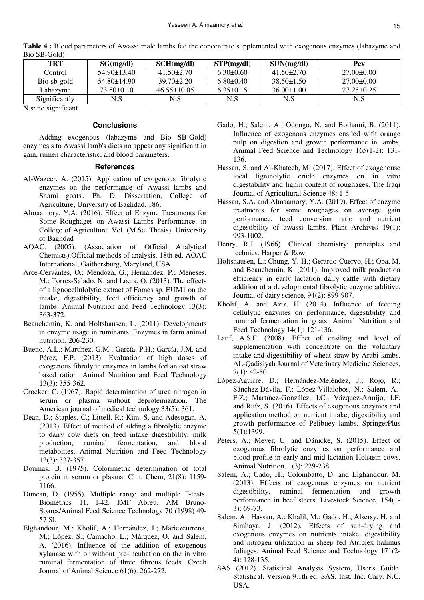| <b>TRT</b>    | SG(mg/dl)         | SCH(mg/dl)        | STP(mg/dl)      | SUN(mg/dl)       | Pcv              |
|---------------|-------------------|-------------------|-----------------|------------------|------------------|
| Control       | $54.90 + 13.40$   | $41.50 + 2.70$    | $6.30\pm0.60$   | $41.50 + 2.70$   | $27.00+0.00$     |
| Bio-sb-gold   | $54.80 \pm 14.90$ | $39.70 \pm 2.20$  | $6.80 \pm 0.40$ | $38.50 \pm 1.50$ | $27.00 \pm 0.00$ |
| Labazyme      | $73.50\pm0.10$    | $46.55 \pm 10.05$ | $6.35\pm0.15$   | $36.00 \pm 1.00$ | $27.25 \pm 0.25$ |
| Significantly | N.S               | N.S               | N.S             | N.S              | N.S              |

**Table 4 :** Blood parameters of Awassi male lambs fed the concentrate supplemented with exogenous enzymes (labazyme and Bio SB-Gold)

N.s: no significant

## **Conclusions**

Adding exogenous (labazyme and Bio SB-Gold) enzymes s to Awassi lamb's diets no appear any significant in gain, rumen characteristic, and blood parameters.

## **References**

- Al-Wazeer, A. (2015). Application of exogenous fibrolytic enzymes on the performance of Awassi lambs and Shami goats'. Ph. D. Dissertation, College of Agriculture, University of Baghdad. 186.
- Almaamory, Y.A. (2016). Effect of Enzyme Treatments for Some Roughages on Awassi Lambs Performance. in College of Agriculture. Vol. (M.Sc. Thesis). University of Baghdad
- AOAC. (2005). (Association of Official Analytical Chemists).Official methods of analysis. 18th ed. AOAC International, Gaithersburg, Maryland, USA.
- Arce-Cervantes, O.; Mendoza, G.; Hernandez, P.; Meneses, M.; Torres-Salado, N. and Loera, O. (2013). The effects of a lignocellulolytic extract of Fomes sp. EUM1 on the intake, digestibility, feed efficiency and growth of lambs. Animal Nutrition and Feed Technology 13(3): 363-372.
- Beauchemin, K. and Holtshausen, L. (2011). Developments in enzyme usage in ruminants. Enzymes in farm animal nutrition, 206-230.
- Bueno, A.L.; Martínez, G.M.; García, P.H.; García, J.M. and Pérez, F.P. (2013). Evaluation of high doses of exogenous fibrolytic enzymes in lambs fed an oat straw based ration. Animal Nutrition and Feed Technology 13(3): 355-362.
- Crocker, C. (1967). Rapid determination of urea nitrogen in serum or plasma without deproteinization. The American journal of medical technology 33(5): 361.
- Dean, D.; Staples, C.; Littell, R.; Kim, S. and Adesogan, A. (2013). Effect of method of adding a fibrolytic enzyme to dairy cow diets on feed intake digestibility, milk production, ruminal fermentation, and blood metabolites. Animal Nutrition and Feed Technology 13(3): 337-357.
- Doumas, B. (1975). Colorimetric determination of total protein in serum or plasma. Clin. Chem, 21(8): 1159- 1166.
- Duncan, D. (1955). Multiple range and multiple F-tests. Biometrics 11, l-42. JMF Abreu, AM Bruno-Soares/Animal Feed Science Technology 70 (1998) 49- 57 Sl.
- Elghandour, M.; Kholif, A.; Hernández, J.; Mariezcurrena, M.; López, S.; Camacho, L.; Márquez, O. and Salem, A. (2016). Influence of the addition of exogenous xylanase with or without pre-incubation on the in vitro ruminal fermentation of three fibrous feeds. Czech Journal of Animal Science 61(6): 262-272.
- Gado, H.; Salem, A.; Odongo, N. and Borhami, B. (2011). Influence of exogenous enzymes ensiled with orange pulp on digestion and growth performance in lambs. Animal Feed Science and Technology 165(1-2): 131- 136.
- Hassan, S. and Al-Khateeb, M. (2017). Effect of exogenouse local ligninolytic crude enzymes on in vitro digestability and lignin content of roughages. The Iraqi Journal of Agricultural Science 48: 1-5.
- Hassan, S.A. and Almaamory, Y.A. (2019). Effect of enzyme treatments for some roughages on average gain performance, feed conversion ratio and nutrient digestibility of awassi lambs. Plant Archives 19(1): 993-1002.
- Henry, R.J. (1966). Clinical chemistry: principles and technics. Harper & Row.
- Holtshausen, L.; Chung, Y.-H.; Gerardo-Cuervo, H.; Oba, M. and Beauchemin, K. (2011). Improved milk production efficiency in early lactation dairy cattle with dietary addition of a developmental fibrolytic enzyme additive. Journal of dairy science, 94(2): 899-907.
- Kholif, A. and Aziz, H. (2014). Influence of feeding cellulytic enzymes on performance, digestibility and ruminal fermentation in goats. Animal Nutrition and Feed Technology 14(1): 121-136.
- Latif, A.S.F. (2008). Effect of ensiling and level of supplementation with concentrate on the voluntary intake and digestibility of wheat straw by Arabi lambs. AL-Qadisiyah Journal of Veterinary Medicine Sciences, 7(1): 42-50.
- López-Aguirre, D.; Hernández-Meléndez, J.; Rojo, R.; Sánchez-Dávila, F.; López-Villalobos, N.; Salem, A.- F.Z.; Martínez-González, J.C.; Vázquez-Armijo, J.F. and Ruíz, S. (2016). Effects of exogenous enzymes and application method on nutrient intake, digestibility and growth performance of Pelibuey lambs. SpringerPlus 5(1):1399.
- Peters, A.; Meyer, U. and Dänicke, S. (2015). Effect of exogenous fibrolytic enzymes on performance and blood profile in early and mid-lactation Holstein cows. Animal Nutrition, 1(3): 229-238.
- Salem, A.; Gado, H.; Colombatto, D. and Elghandour, M. (2013). Effects of exogenous enzymes on nutrient digestibility, ruminal fermentation and growth performance in beef steers. Livestock Science, 154(1- 3): 69-73.
- Salem, A.; Hassan, A.; Khalil, M.; Gado, H.; Alsersy, H. and Simbaya, J. (2012). Effects of sun-drying and exogenous enzymes on nutrients intake, digestibility and nitrogen utilization in sheep fed Atriplex halimus foliages. Animal Feed Science and Technology 171(2- 4): 128-135.
- SAS (2012). Statistical Analysis System, User's Guide. Statistical. Version 9.1th ed. SAS. Inst. Inc. Cary. N.C. USA.